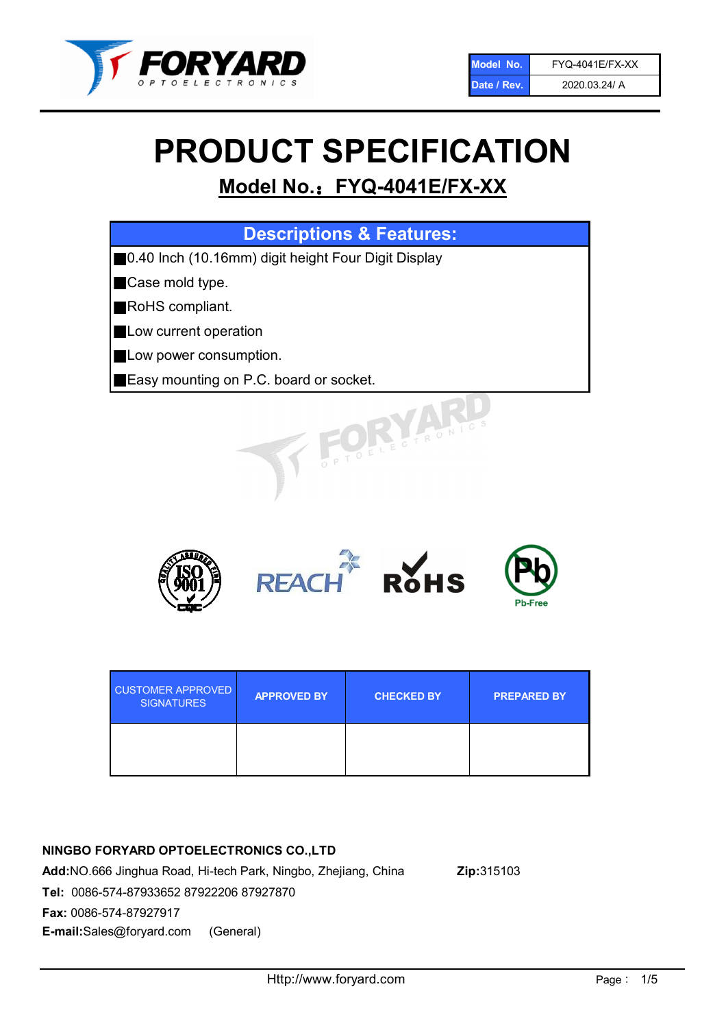

# PRODUCT SPECIFICATION

# Model No.: FYQ-4041E/FX-XX

| <b>Descriptions &amp; Features:</b>                  |
|------------------------------------------------------|
| ■0.40 Inch (10.16mm) digit height Four Digit Display |
| Case mold type.                                      |
| RoHS compliant.                                      |
| Low current operation                                |
| Low power consumption.                               |
| Easy mounting on P.C. board or socket.               |
| TOELECTRONIC                                         |



| <b>CUSTOMER APPROVED</b><br><b>SIGNATURES</b> | <b>APPROVED BY</b> | <b>CHECKED BY</b> | <b>PREPARED BY</b> |
|-----------------------------------------------|--------------------|-------------------|--------------------|
|                                               |                    |                   |                    |

# NINGBO FORYARD OPTOELECTRONICS CO.,LTD

Add:NO.666 Jinghua Road, Hi-tech Park, Ningbo, Zhejiang, China Zip:315103 Tel: 0086-574-87933652 87922206 87927870 Fax: 0086-574-87927917 E-mail:Sales@foryard.com (General)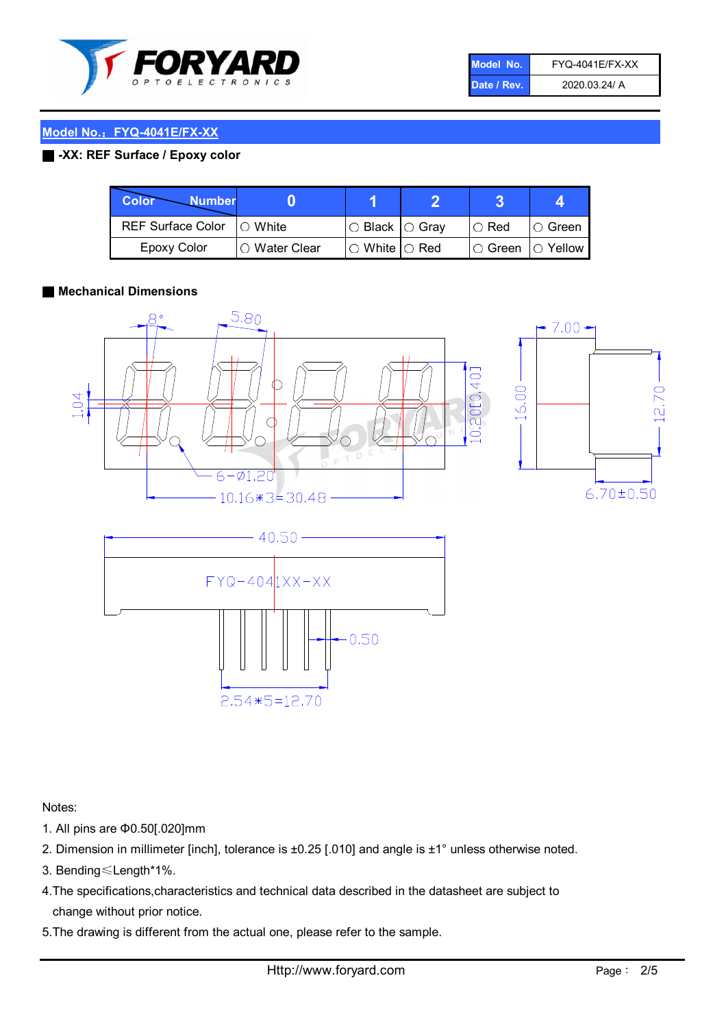

| Model No.   | <b>FYQ-4041E/FX-XX</b> |
|-------------|------------------------|
| Date / Rev. | 2020.03.24/ A          |

## Model No.: FYQ-4041E/FX-XX

#### ■ -XX: REF Surface / Epoxy color

| Color<br><b>Number</b>      |               |                           |               |            |
|-----------------------------|---------------|---------------------------|---------------|------------|
| REF Surface Color   O White |               | I○ Black  ○ Grav          | $\circ$ Red   | IO Green   |
| Epoxy Color                 | ○ Water Clear | $\circ$ White $\circ$ Red | $\circ$ Green | ( ) Yellow |

#### ■ Mechanical Dimensions





Notes:

- 1. All pins are Φ0.50[.020]mm
- 2. Dimension in millimeter [inch], tolerance is ±0.25 [.010] and angle is ±1° unless otherwise noted.
- 3. Bending≤Length\*1%.
- 4.The specifications,characteristics and technical data described in the datasheet are subject to change without prior notice.
- 5.The drawing is different from the actual one, please refer to the sample.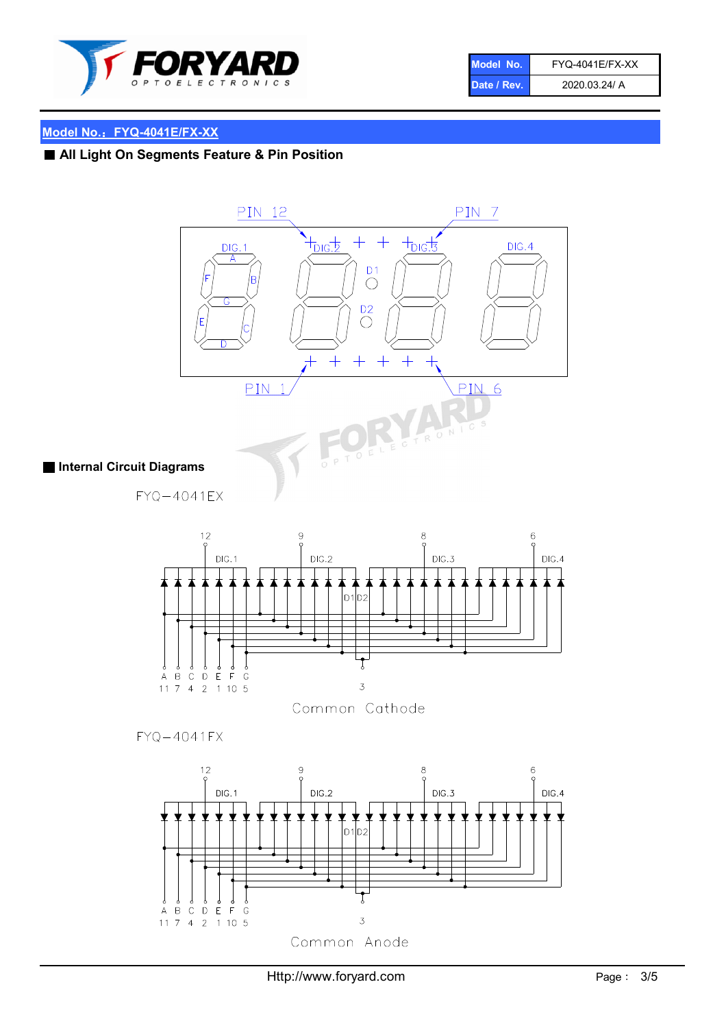

| Model No.   | <b>FYQ-4041E/FX-XX</b> |
|-------------|------------------------|
| Date / Rev. | 2020.03.24/ A          |

# Model No.: FYQ-4041E/FX-XX

# ■ All Light On Segments Feature & Pin Position





Common Cathode

 $FYQ - 4041FX$ 

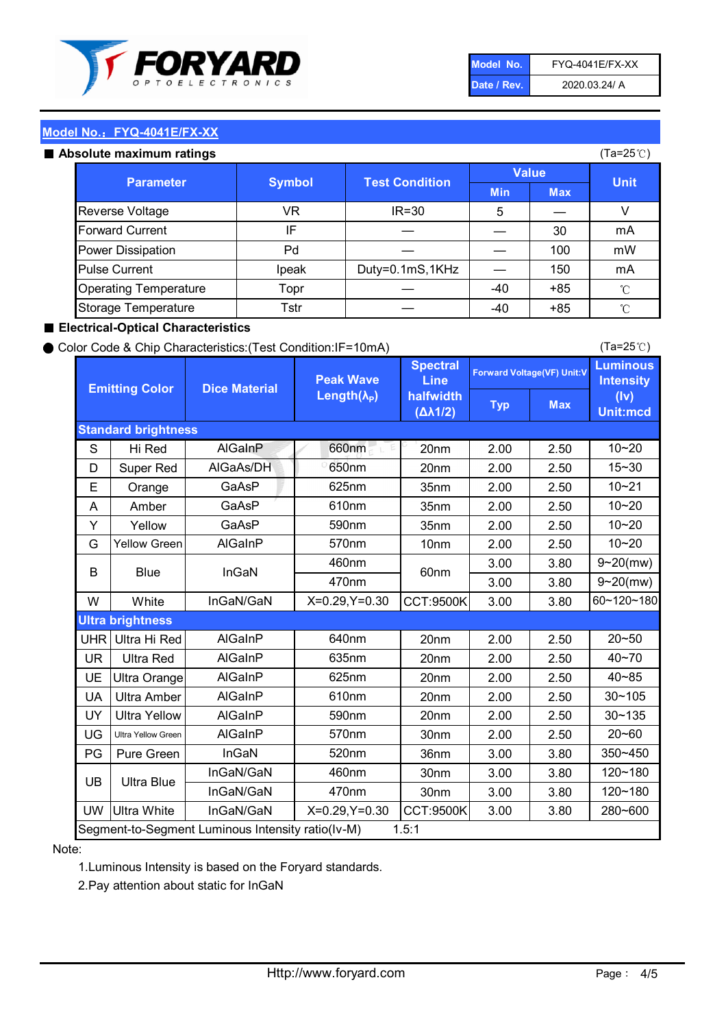

| Model No.   | <b>FYQ-4041E/FX-XX</b> |
|-------------|------------------------|
| Date / Rev. | 2020.03.24/ A          |

(Ta=25℃)

#### Model No.: FYQ-4041E/FX-XX

#### Absolute maximum

| solute maximum ratings       |               |                       |              |            | (Ta=25℃)    |
|------------------------------|---------------|-----------------------|--------------|------------|-------------|
| <b>Parameter</b>             | <b>Symbol</b> | <b>Test Condition</b> | <b>Value</b> |            |             |
|                              |               |                       | <b>Min</b>   | <b>Max</b> | <b>Unit</b> |
| Reverse Voltage              | VR            | $IR = 30$             | 5            |            |             |
| <b>Forward Current</b>       | ΙF            |                       |              | 30         | mA          |
| Power Dissipation            | Pd            |                       |              | 100        | mW          |
| <b>Pulse Current</b>         | Ipeak         | Duty=0.1mS,1KHz       |              | 150        | mA          |
| <b>Operating Temperature</b> | Topr          |                       | $-40$        | $+85$      | °C          |
| Storage Temperature          | Tstr          |                       | $-40$        | $+85$      | °C          |

#### ■ Electrical-Optical Characteristics

#### ● Color Code & Chip Characteristics:(Test Condition:IF=10mA)

Typ Max S | Hi $\textsf{Red}$  | AlGaInP | 660nm LE 20nm | 2.00 | 2.50 D | Super Red | AIGaAs/DH | 650nm | 20nm | 2.00 | 2.50 E | Orange | GaAsP | 625nm | 35nm | 2.00 | 2.50 A | Amber | GaAsP | 610nm | 35nm | 2.00 | 2.50 Y | Yellow | GaAsP | 590nm | 35nm | 2.00 | 2.50 G Yellow Green AIGaInP | 570nm | 10nm | 2.00 | 2.50 3.00 3.80 3.00 3.80 W | White | InGaN/GaN | X=0.29,Y=0.30 |CCT:9500K| 3.00 | 3.80 UHR Ultra Hi Red | AlGaInP | 640nm | 20nm | 2.00 | 2.50 UR | Ultra Red | AlGaInP | 635nm | 20nm | 2.00 | 2.50 UE Ultra Orange | AIGaInP | 625nm | 20nm | 2.00 | 2.50 UA Ultra Amber | AIGaInP | 610nm | 20nm | 2.00 | 2.50  $UV$  Ultra Yellow  $\vert$  AlGaInP  $\vert$  590nm  $\vert$  20nm  $\vert$  2.00  $\vert$  2.50  $\text{UG}$  Ultra Yellow Green | AIGaInP | 570nm | 30nm | 2.00 | 2.50 PG Pure Green | InGaN | 520nm | 36nm | 3.00 | 3.80 30nm 3.00 3.80 30nm 3.00 3.80 UW |Ultra White | InGaN/GaN | X=0.29,Y=0.30 |CCT:9500K| 3.00 | 3.80 40~85 60~120~180 40~70 Segment-to-Segment Luminous Intensity ratio(Iv-M) 1.5:1 610nm 9~20(mw) 350~450 470nm 120~180 120~180 Ultra Blue InGaN/GaN InGaN/GaN 9~20(mw) 20~50 280~600 570nm | 30nm | 2.00 | 2.50 | 20~60 470nm 590nm InGaN/GaN B Blue I InGaN 570nm | 10nm | 2.00 | 2.50 | 10~20 30~105 30~135 460nm 520nm Ultra brightness **AlGaInP** AlGaInP 60nm AlGaInP 640nm Peak Wave Length $(\lambda_{\rm P})$ UB 460nm 635nm AlGaInP AlGaInP AlGaInP InGaN/GaN AlGaInP 10~20 Luminous **Intensity** (Iv) Unit:mcd AlGainP 660nm GaAsP GaAsP AlGaAs/DH **Spectral** Line halfwidth (∆λ1/2) 10~20 Standard brightness Forward Voltage(VF) Unit:V 15~30 10~20 625nm GaAsP 590nm **Emitting Color Dice Material** 10~21 610nm

#### Note:

1.Luminous Intensity is based on the Foryard standards.

2.Pay attention about static for InGaN